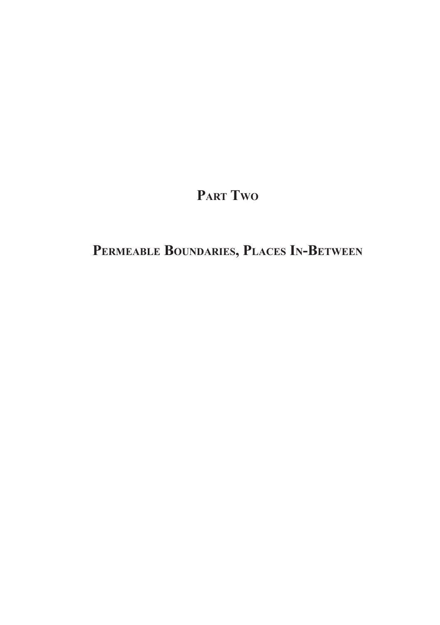## **Part Two**

# **Permeable Boundaries, Places In-Between**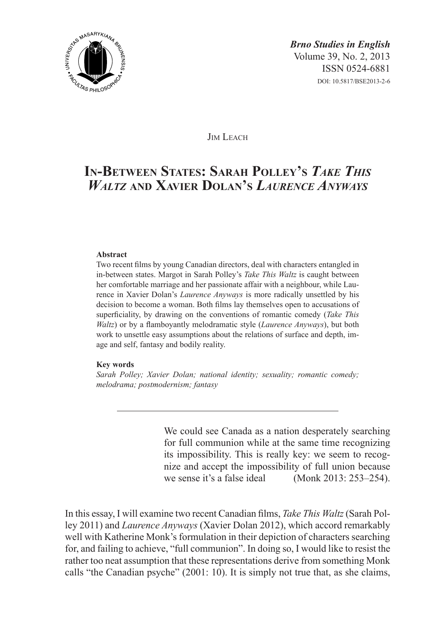

### **In-Between States: Sarah Polley's** *Take This Waltz* **and Xavier Dolan's** *Laurence Anyways*

#### **Abstract**

Two recent films by young Canadian directors, deal with characters entangled in in-between states. Margot in Sarah Polley's *Take This Waltz* is caught between her comfortable marriage and her passionate affair with a neighbour, while Laurence in Xavier Dolan's *Laurence Anyways* is more radically unsettled by his decision to become a woman. Both films lay themselves open to accusations of superficiality, by drawing on the conventions of romantic comedy (*Take This Waltz*) or by a flamboyantly melodramatic style (*Laurence Anyways*), but both work to unsettle easy assumptions about the relations of surface and depth, image and self, fantasy and bodily reality.

#### **Key words**

*Sarah Polley; Xavier Dolan; national identity; sexuality; romantic comedy; melodrama; postmodernism; fantasy*

> We could see Canada as a nation desperately searching for full communion while at the same time recognizing its impossibility. This is really key: we seem to recognize and accept the impossibility of full union because we sense it's a false ideal (Monk 2013: 253–254).

In this essay, I will examine two recent Canadian films, *Take This Waltz* (Sarah Polley 2011) and *Laurence Anyways* (Xavier Dolan 2012), which accord remarkably well with Katherine Monk's formulation in their depiction of characters searching for, and failing to achieve, "full communion". In doing so, I would like to resist the rather too neat assumption that these representations derive from something Monk calls "the Canadian psyche" (2001: 10). It is simply not true that, as she claims,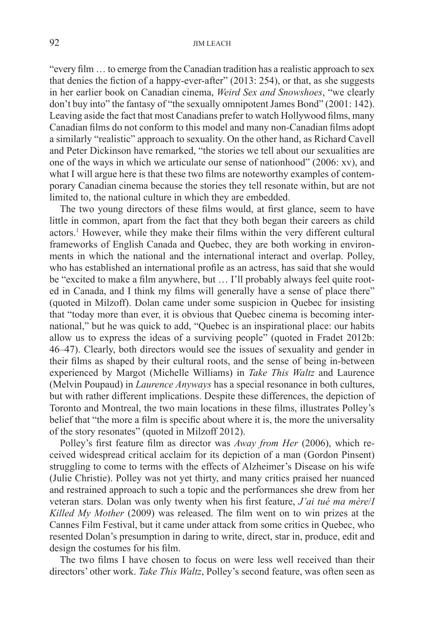"every film … to emerge from the Canadian tradition has a realistic approach to sex that denies the fiction of a happy-ever-after" (2013: 254), or that, as she suggests in her earlier book on Canadian cinema, *Weird Sex and Snowshoes*, "we clearly don't buy into" the fantasy of "the sexually omnipotent James Bond" (2001: 142). Leaving aside the fact that most Canadians prefer to watch Hollywood films, many Canadian films do not conform to this model and many non-Canadian films adopt a similarly "realistic" approach to sexuality. On the other hand, as Richard Cavell and Peter Dickinson have remarked, "the stories we tell about our sexualities are one of the ways in which we articulate our sense of nationhood" (2006: xv), and what I will argue here is that these two films are noteworthy examples of contemporary Canadian cinema because the stories they tell resonate within, but are not limited to, the national culture in which they are embedded.

The two young directors of these films would, at first glance, seem to have little in common, apart from the fact that they both began their careers as child actors.<sup>1</sup> However, while they make their films within the very different cultural frameworks of English Canada and Quebec, they are both working in environments in which the national and the international interact and overlap. Polley, who has established an international profile as an actress, has said that she would be "excited to make a film anywhere, but … I'll probably always feel quite rooted in Canada, and I think my films will generally have a sense of place there" (quoted in Milzoff). Dolan came under some suspicion in Quebec for insisting that "today more than ever, it is obvious that Quebec cinema is becoming international," but he was quick to add, "Quebec is an inspirational place: our habits allow us to express the ideas of a surviving people" (quoted in Fradet 2012b: 46–47). Clearly, both directors would see the issues of sexuality and gender in their films as shaped by their cultural roots, and the sense of being in-between experienced by Margot (Michelle Williams) in *Take This Waltz* and Laurence (Melvin Poupaud) in *Laurence Anyways* has a special resonance in both cultures, but with rather different implications. Despite these differences, the depiction of Toronto and Montreal, the two main locations in these films, illustrates Polley's belief that "the more a film is specific about where it is, the more the universality of the story resonates" (quoted in Milzoff 2012).

Polley's first feature film as director was *Away from Her* (2006), which received widespread critical acclaim for its depiction of a man (Gordon Pinsent) struggling to come to terms with the effects of Alzheimer's Disease on his wife (Julie Christie). Polley was not yet thirty, and many critics praised her nuanced and restrained approach to such a topic and the performances she drew from her veteran stars. Dolan was only twenty when his first feature, *J'ai tué ma mère*/*I Killed My Mother* (2009) was released. The film went on to win prizes at the Cannes Film Festival, but it came under attack from some critics in Quebec, who resented Dolan's presumption in daring to write, direct, star in, produce, edit and design the costumes for his film.

The two films I have chosen to focus on were less well received than their directors' other work. *Take This Waltz*, Polley's second feature, was often seen as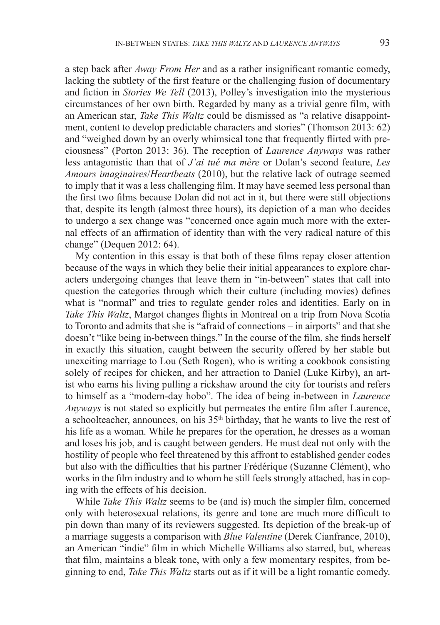a step back after *Away From Her* and as a rather insignificant romantic comedy, lacking the subtlety of the first feature or the challenging fusion of documentary and fiction in *Stories We Tell* (2013), Polley's investigation into the mysterious circumstances of her own birth. Regarded by many as a trivial genre film, with an American star, *Take This Waltz* could be dismissed as "a relative disappointment, content to develop predictable characters and stories" (Thomson 2013: 62) and "weighed down by an overly whimsical tone that frequently flirted with preciousness" (Porton 2013: 36). The reception of *Laurence Anyways* was rather less antagonistic than that of *J'ai tué ma mère* or Dolan's second feature, *Les Amours imaginaires*/*Heartbeats* (2010), but the relative lack of outrage seemed to imply that it was a less challenging film. It may have seemed less personal than the first two films because Dolan did not act in it, but there were still objections that, despite its length (almost three hours), its depiction of a man who decides to undergo a sex change was "concerned once again much more with the external effects of an affirmation of identity than with the very radical nature of this change" (Dequen 2012: 64).

My contention in this essay is that both of these films repay closer attention because of the ways in which they belie their initial appearances to explore characters undergoing changes that leave them in "in-between" states that call into question the categories through which their culture (including movies) defines what is "normal" and tries to regulate gender roles and identities. Early on in *Take This Waltz*, Margot changes flights in Montreal on a trip from Nova Scotia to Toronto and admits that she is "afraid of connections – in airports" and that she doesn't "like being in-between things." In the course of the film, she finds herself in exactly this situation, caught between the security offered by her stable but unexciting marriage to Lou (Seth Rogen), who is writing a cookbook consisting solely of recipes for chicken, and her attraction to Daniel (Luke Kirby), an artist who earns his living pulling a rickshaw around the city for tourists and refers to himself as a "modern-day hobo". The idea of being in-between in *Laurence Anyways* is not stated so explicitly but permeates the entire film after Laurence, a schoolteacher, announces, on his  $35<sup>th</sup>$  birthday, that he wants to live the rest of his life as a woman. While he prepares for the operation, he dresses as a woman and loses his job, and is caught between genders. He must deal not only with the hostility of people who feel threatened by this affront to established gender codes but also with the difficulties that his partner Frédérique (Suzanne Clément), who works in the film industry and to whom he still feels strongly attached, has in coping with the effects of his decision.

While *Take This Waltz* seems to be (and is) much the simpler film, concerned only with heterosexual relations, its genre and tone are much more difficult to pin down than many of its reviewers suggested. Its depiction of the break-up of a marriage suggests a comparison with *Blue Valentine* (Derek Cianfrance, 2010), an American "indie" film in which Michelle Williams also starred, but, whereas that film, maintains a bleak tone, with only a few momentary respites, from beginning to end, *Take This Waltz* starts out as if it will be a light romantic comedy.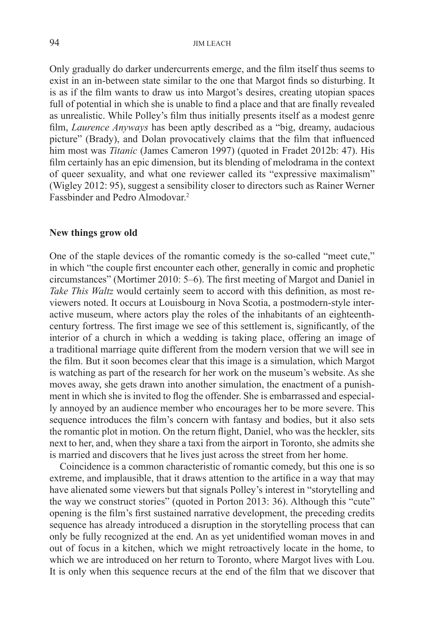Only gradually do darker undercurrents emerge, and the film itself thus seems to exist in an in-between state similar to the one that Margot finds so disturbing. It is as if the film wants to draw us into Margot's desires, creating utopian spaces full of potential in which she is unable to find a place and that are finally revealed as unrealistic. While Polley's film thus initially presents itself as a modest genre film, *Laurence Anyways* has been aptly described as a "big, dreamy, audacious picture" (Brady), and Dolan provocatively claims that the film that influenced him most was *Titanic* (James Cameron 1997) (quoted in Fradet 2012b: 47). His film certainly has an epic dimension, but its blending of melodrama in the context of queer sexuality, and what one reviewer called its "expressive maximalism" (Wigley 2012: 95), suggest a sensibility closer to directors such as Rainer Werner Fassbinder and Pedro Almodovar<sup>2</sup>

#### **New things grow old**

One of the staple devices of the romantic comedy is the so-called "meet cute," in which "the couple first encounter each other, generally in comic and prophetic circumstances" (Mortimer 2010: 5–6). The first meeting of Margot and Daniel in *Take This Waltz* would certainly seem to accord with this definition, as most reviewers noted. It occurs at Louisbourg in Nova Scotia, a postmodern-style interactive museum, where actors play the roles of the inhabitants of an eighteenthcentury fortress. The first image we see of this settlement is, significantly, of the interior of a church in which a wedding is taking place, offering an image of a traditional marriage quite different from the modern version that we will see in the film. But it soon becomes clear that this image is a simulation, which Margot is watching as part of the research for her work on the museum's website. As she moves away, she gets drawn into another simulation, the enactment of a punishment in which she is invited to flog the offender. She is embarrassed and especially annoyed by an audience member who encourages her to be more severe. This sequence introduces the film's concern with fantasy and bodies, but it also sets the romantic plot in motion. On the return flight, Daniel, who was the heckler, sits next to her, and, when they share a taxi from the airport in Toronto, she admits she is married and discovers that he lives just across the street from her home.

Coincidence is a common characteristic of romantic comedy, but this one is so extreme, and implausible, that it draws attention to the artifice in a way that may have alienated some viewers but that signals Polley's interest in "storytelling and the way we construct stories" (quoted in Porton 2013: 36). Although this "cute" opening is the film's first sustained narrative development, the preceding credits sequence has already introduced a disruption in the storytelling process that can only be fully recognized at the end. An as yet unidentified woman moves in and out of focus in a kitchen, which we might retroactively locate in the home, to which we are introduced on her return to Toronto, where Margot lives with Lou. It is only when this sequence recurs at the end of the film that we discover that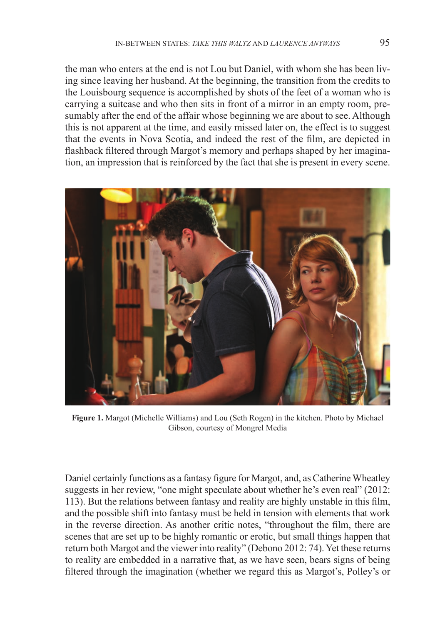the man who enters at the end is not Lou but Daniel, with whom she has been living since leaving her husband. At the beginning, the transition from the credits to the Louisbourg sequence is accomplished by shots of the feet of a woman who is carrying a suitcase and who then sits in front of a mirror in an empty room, presumably after the end of the affair whose beginning we are about to see. Although this is not apparent at the time, and easily missed later on, the effect is to suggest that the events in Nova Scotia, and indeed the rest of the film, are depicted in flashback filtered through Margot's memory and perhaps shaped by her imagination, an impression that is reinforced by the fact that she is present in every scene.



**Figure 1.** Margot (Michelle Williams) and Lou (Seth Rogen) in the kitchen. Photo by Michael Gibson, courtesy of Mongrel Media

Daniel certainly functions as a fantasy figure for Margot, and, as Catherine Wheatley suggests in her review, "one might speculate about whether he's even real" (2012: 113). But the relations between fantasy and reality are highly unstable in this film, and the possible shift into fantasy must be held in tension with elements that work in the reverse direction. As another critic notes, "throughout the film, there are scenes that are set up to be highly romantic or erotic, but small things happen that return both Margot and the viewer into reality" (Debono 2012: 74). Yet these returns to reality are embedded in a narrative that, as we have seen, bears signs of being filtered through the imagination (whether we regard this as Margot's, Polley's or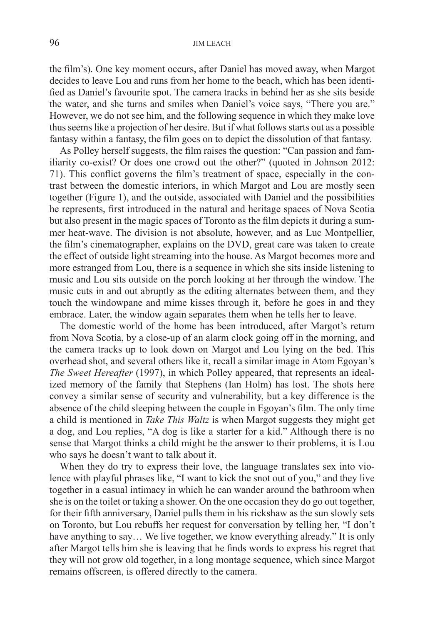the film's). One key moment occurs, after Daniel has moved away, when Margot decides to leave Lou and runs from her home to the beach, which has been identified as Daniel's favourite spot. The camera tracks in behind her as she sits beside the water, and she turns and smiles when Daniel's voice says, "There you are." However, we do not see him, and the following sequence in which they make love thus seems like a projection of her desire. But if what follows starts out as a possible fantasy within a fantasy, the film goes on to depict the dissolution of that fantasy.

As Polley herself suggests, the film raises the question: "Can passion and familiarity co-exist? Or does one crowd out the other?" (quoted in Johnson 2012: 71). This conflict governs the film's treatment of space, especially in the contrast between the domestic interiors, in which Margot and Lou are mostly seen together (Figure 1), and the outside, associated with Daniel and the possibilities he represents, first introduced in the natural and heritage spaces of Nova Scotia but also present in the magic spaces of Toronto as the film depicts it during a summer heat-wave. The division is not absolute, however, and as Luc Montpellier, the film's cinematographer, explains on the DVD, great care was taken to create the effect of outside light streaming into the house. As Margot becomes more and more estranged from Lou, there is a sequence in which she sits inside listening to music and Lou sits outside on the porch looking at her through the window. The music cuts in and out abruptly as the editing alternates between them, and they touch the windowpane and mime kisses through it, before he goes in and they embrace. Later, the window again separates them when he tells her to leave.

The domestic world of the home has been introduced, after Margot's return from Nova Scotia, by a close-up of an alarm clock going off in the morning, and the camera tracks up to look down on Margot and Lou lying on the bed. This overhead shot, and several others like it, recall a similar image in Atom Egoyan's *The Sweet Hereafter* (1997), in which Polley appeared, that represents an idealized memory of the family that Stephens (Ian Holm) has lost. The shots here convey a similar sense of security and vulnerability, but a key difference is the absence of the child sleeping between the couple in Egoyan's film. The only time a child is mentioned in *Take This Waltz* is when Margot suggests they might get a dog, and Lou replies, "A dog is like a starter for a kid." Although there is no sense that Margot thinks a child might be the answer to their problems, it is Lou who says he doesn't want to talk about it.

When they do try to express their love, the language translates sex into violence with playful phrases like, "I want to kick the snot out of you," and they live together in a casual intimacy in which he can wander around the bathroom when she is on the toilet or taking a shower. On the one occasion they do go out together, for their fifth anniversary, Daniel pulls them in his rickshaw as the sun slowly sets on Toronto, but Lou rebuffs her request for conversation by telling her, "I don't have anything to say... We live together, we know everything already." It is only after Margot tells him she is leaving that he finds words to express his regret that they will not grow old together, in a long montage sequence, which since Margot remains offscreen, is offered directly to the camera.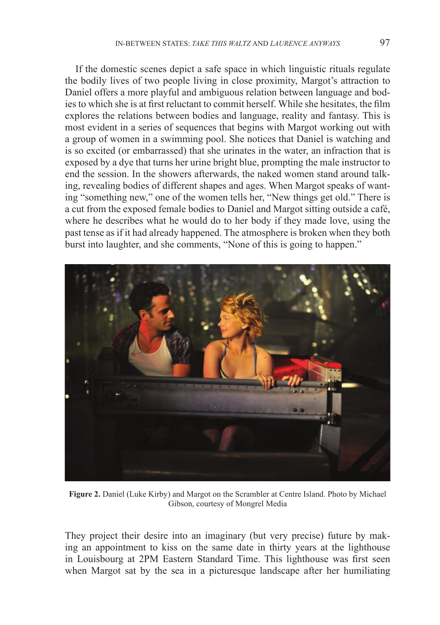If the domestic scenes depict a safe space in which linguistic rituals regulate the bodily lives of two people living in close proximity, Margot's attraction to Daniel offers a more playful and ambiguous relation between language and bodies to which she is at first reluctant to commit herself. While she hesitates, the film explores the relations between bodies and language, reality and fantasy. This is most evident in a series of sequences that begins with Margot working out with a group of women in a swimming pool. She notices that Daniel is watching and is so excited (or embarrassed) that she urinates in the water, an infraction that is exposed by a dye that turns her urine bright blue, prompting the male instructor to end the session. In the showers afterwards, the naked women stand around talking, revealing bodies of different shapes and ages. When Margot speaks of wanting "something new," one of the women tells her, "New things get old." There is a cut from the exposed female bodies to Daniel and Margot sitting outside a café, where he describes what he would do to her body if they made love, using the past tense as if it had already happened. The atmosphere is broken when they both burst into laughter, and she comments, "None of this is going to happen."



**Figure 2.** Daniel (Luke Kirby) and Margot on the Scrambler at Centre Island. Photo by Michael Gibson, courtesy of Mongrel Media

They project their desire into an imaginary (but very precise) future by making an appointment to kiss on the same date in thirty years at the lighthouse in Louisbourg at 2PM Eastern Standard Time. This lighthouse was first seen when Margot sat by the sea in a picturesque landscape after her humiliating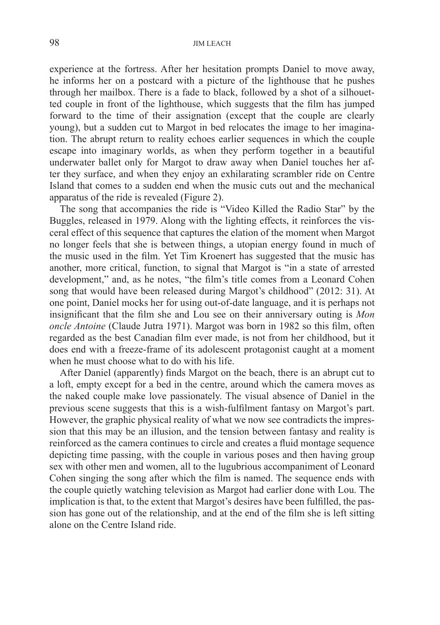experience at the fortress. After her hesitation prompts Daniel to move away, he informs her on a postcard with a picture of the lighthouse that he pushes through her mailbox. There is a fade to black, followed by a shot of a silhouetted couple in front of the lighthouse, which suggests that the film has jumped forward to the time of their assignation (except that the couple are clearly young), but a sudden cut to Margot in bed relocates the image to her imagination. The abrupt return to reality echoes earlier sequences in which the couple escape into imaginary worlds, as when they perform together in a beautiful underwater ballet only for Margot to draw away when Daniel touches her after they surface, and when they enjoy an exhilarating scrambler ride on Centre Island that comes to a sudden end when the music cuts out and the mechanical apparatus of the ride is revealed (Figure 2).

The song that accompanies the ride is "Video Killed the Radio Star" by the Buggles, released in 1979. Along with the lighting effects, it reinforces the visceral effect of this sequence that captures the elation of the moment when Margot no longer feels that she is between things, a utopian energy found in much of the music used in the film. Yet Tim Kroenert has suggested that the music has another, more critical, function, to signal that Margot is "in a state of arrested development," and, as he notes, "the film's title comes from a Leonard Cohen song that would have been released during Margot's childhood" (2012: 31). At one point, Daniel mocks her for using out-of-date language, and it is perhaps not insignificant that the film she and Lou see on their anniversary outing is *Mon oncle Antoine* (Claude Jutra 1971). Margot was born in 1982 so this film, often regarded as the best Canadian film ever made, is not from her childhood, but it does end with a freeze-frame of its adolescent protagonist caught at a moment when he must choose what to do with his life.

After Daniel (apparently) finds Margot on the beach, there is an abrupt cut to a loft, empty except for a bed in the centre, around which the camera moves as the naked couple make love passionately. The visual absence of Daniel in the previous scene suggests that this is a wish-fulfilment fantasy on Margot's part. However, the graphic physical reality of what we now see contradicts the impression that this may be an illusion, and the tension between fantasy and reality is reinforced as the camera continues to circle and creates a fluid montage sequence depicting time passing, with the couple in various poses and then having group sex with other men and women, all to the lugubrious accompaniment of Leonard Cohen singing the song after which the film is named. The sequence ends with the couple quietly watching television as Margot had earlier done with Lou. The implication is that, to the extent that Margot's desires have been fulfilled, the passion has gone out of the relationship, and at the end of the film she is left sitting alone on the Centre Island ride.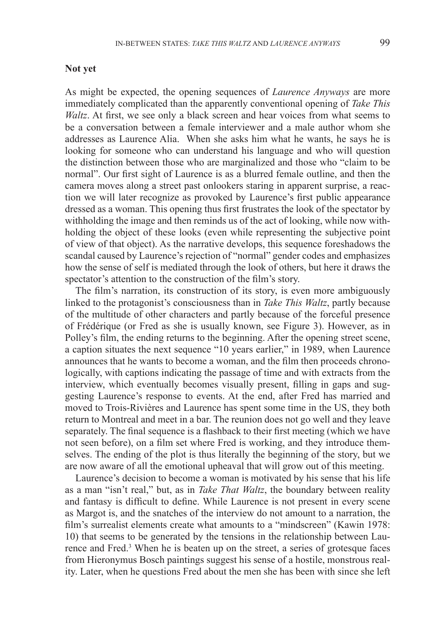#### **Not yet**

As might be expected, the opening sequences of *Laurence Anyways* are more immediately complicated than the apparently conventional opening of *Take This Waltz*. At first, we see only a black screen and hear voices from what seems to be a conversation between a female interviewer and a male author whom she addresses as Laurence Alia. When she asks him what he wants, he says he is looking for someone who can understand his language and who will question the distinction between those who are marginalized and those who "claim to be normal". Our first sight of Laurence is as a blurred female outline, and then the camera moves along a street past onlookers staring in apparent surprise, a reaction we will later recognize as provoked by Laurence's first public appearance dressed as a woman. This opening thus first frustrates the look of the spectator by withholding the image and then reminds us of the act of looking, while now withholding the object of these looks (even while representing the subjective point of view of that object). As the narrative develops, this sequence foreshadows the scandal caused by Laurence's rejection of "normal" gender codes and emphasizes how the sense of self is mediated through the look of others, but here it draws the spectator's attention to the construction of the film's story.

The film's narration, its construction of its story, is even more ambiguously linked to the protagonist's consciousness than in *Take This Waltz*, partly because of the multitude of other characters and partly because of the forceful presence of Frédérique (or Fred as she is usually known, see Figure 3). However, as in Polley's film, the ending returns to the beginning. After the opening street scene, a caption situates the next sequence "10 years earlier," in 1989, when Laurence announces that he wants to become a woman, and the film then proceeds chronologically, with captions indicating the passage of time and with extracts from the interview, which eventually becomes visually present, filling in gaps and suggesting Laurence's response to events. At the end, after Fred has married and moved to Trois-Rivières and Laurence has spent some time in the US, they both return to Montreal and meet in a bar. The reunion does not go well and they leave separately. The final sequence is a flashback to their first meeting (which we have not seen before), on a film set where Fred is working, and they introduce themselves. The ending of the plot is thus literally the beginning of the story, but we are now aware of all the emotional upheaval that will grow out of this meeting.

Laurence's decision to become a woman is motivated by his sense that his life as a man "isn't real," but, as in *Take That Waltz*, the boundary between reality and fantasy is difficult to define. While Laurence is not present in every scene as Margot is, and the snatches of the interview do not amount to a narration, the film's surrealist elements create what amounts to a "mindscreen" (Kawin 1978: 10) that seems to be generated by the tensions in the relationship between Laurence and Fred.<sup>3</sup> When he is beaten up on the street, a series of grotesque faces from Hieronymus Bosch paintings suggest his sense of a hostile, monstrous reality. Later, when he questions Fred about the men she has been with since she left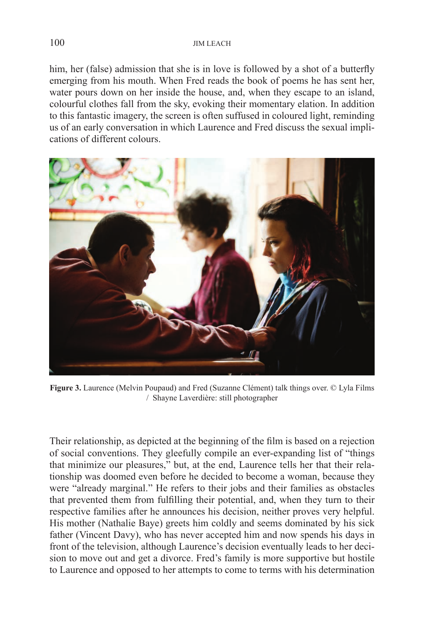him, her (false) admission that she is in love is followed by a shot of a butterfly emerging from his mouth. When Fred reads the book of poems he has sent her, water pours down on her inside the house, and, when they escape to an island, colourful clothes fall from the sky, evoking their momentary elation. In addition to this fantastic imagery, the screen is often suffused in coloured light, reminding us of an early conversation in which Laurence and Fred discuss the sexual implications of different colours.



**Figure 3.** Laurence (Melvin Poupaud) and Fred (Suzanne Clément) talk things over. © Lyla Films / Shayne Laverdière: still photographer

Their relationship, as depicted at the beginning of the film is based on a rejection of social conventions. They gleefully compile an ever-expanding list of "things that minimize our pleasures," but, at the end, Laurence tells her that their relationship was doomed even before he decided to become a woman, because they were "already marginal." He refers to their jobs and their families as obstacles that prevented them from fulfilling their potential, and, when they turn to their respective families after he announces his decision, neither proves very helpful. His mother (Nathalie Baye) greets him coldly and seems dominated by his sick father (Vincent Davy), who has never accepted him and now spends his days in front of the television, although Laurence's decision eventually leads to her decision to move out and get a divorce. Fred's family is more supportive but hostile to Laurence and opposed to her attempts to come to terms with his determination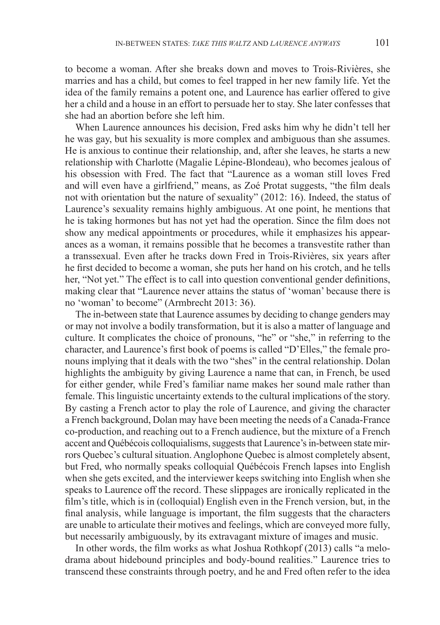to become a woman. After she breaks down and moves to Trois-Rivières, she marries and has a child, but comes to feel trapped in her new family life. Yet the idea of the family remains a potent one, and Laurence has earlier offered to give her a child and a house in an effort to persuade her to stay. She later confesses that she had an abortion before she left him.

When Laurence announces his decision, Fred asks him why he didn't tell her he was gay, but his sexuality is more complex and ambiguous than she assumes. He is anxious to continue their relationship, and, after she leaves, he starts a new relationship with Charlotte (Magalie Lépine-Blondeau), who becomes jealous of his obsession with Fred. The fact that "Laurence as a woman still loves Fred and will even have a girlfriend," means, as Zoé Protat suggests, "the film deals not with orientation but the nature of sexuality" (2012: 16). Indeed, the status of Laurence's sexuality remains highly ambiguous. At one point, he mentions that he is taking hormones but has not yet had the operation. Since the film does not show any medical appointments or procedures, while it emphasizes his appearances as a woman, it remains possible that he becomes a transvestite rather than a transsexual. Even after he tracks down Fred in Trois-Rivières, six years after he first decided to become a woman, she puts her hand on his crotch, and he tells her, "Not yet." The effect is to call into question conventional gender definitions, making clear that "Laurence never attains the status of 'woman' because there is no 'woman' to become" (Armbrecht 2013: 36).

The in-between state that Laurence assumes by deciding to change genders may or may not involve a bodily transformation, but it is also a matter of language and culture. It complicates the choice of pronouns, "he" or "she," in referring to the character, and Laurence's first book of poems is called "D'Elles," the female pronouns implying that it deals with the two "shes" in the central relationship. Dolan highlights the ambiguity by giving Laurence a name that can, in French, be used for either gender, while Fred's familiar name makes her sound male rather than female. This linguistic uncertainty extends to the cultural implications of the story. By casting a French actor to play the role of Laurence, and giving the character a French background, Dolan may have been meeting the needs of a Canada-France co-production, and reaching out to a French audience, but the mixture of a French accent and Québécois colloquialisms, suggests that Laurence's in-between state mirrors Quebec's cultural situation. Anglophone Quebec is almost completely absent, but Fred, who normally speaks colloquial Québécois French lapses into English when she gets excited, and the interviewer keeps switching into English when she speaks to Laurence off the record. These slippages are ironically replicated in the film's title, which is in (colloquial) English even in the French version, but, in the final analysis, while language is important, the film suggests that the characters are unable to articulate their motives and feelings, which are conveyed more fully, but necessarily ambiguously, by its extravagant mixture of images and music.

In other words, the film works as what Joshua Rothkopf (2013) calls "a melodrama about hidebound principles and body-bound realities." Laurence tries to transcend these constraints through poetry, and he and Fred often refer to the idea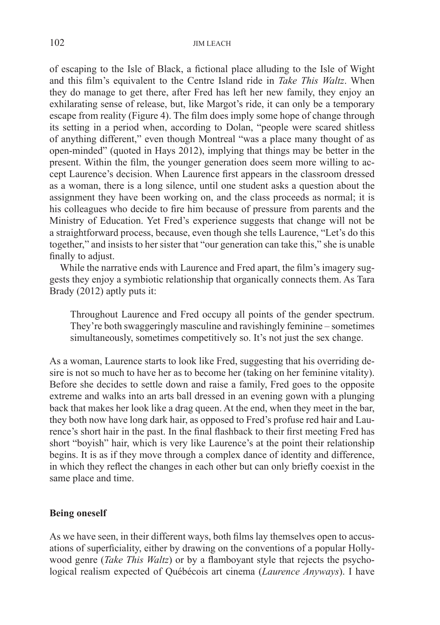of escaping to the Isle of Black, a fictional place alluding to the Isle of Wight and this film's equivalent to the Centre Island ride in *Take This Waltz*. When they do manage to get there, after Fred has left her new family, they enjoy an exhilarating sense of release, but, like Margot's ride, it can only be a temporary escape from reality (Figure 4). The film does imply some hope of change through its setting in a period when, according to Dolan, "people were scared shitless of anything different," even though Montreal "was a place many thought of as open-minded" (quoted in Hays 2012), implying that things may be better in the present. Within the film, the younger generation does seem more willing to accept Laurence's decision. When Laurence first appears in the classroom dressed as a woman, there is a long silence, until one student asks a question about the assignment they have been working on, and the class proceeds as normal; it is his colleagues who decide to fire him because of pressure from parents and the Ministry of Education. Yet Fred's experience suggests that change will not be a straightforward process, because, even though she tells Laurence, "Let's do this together," and insists to her sister that "our generation can take this," she is unable finally to adjust.

While the narrative ends with Laurence and Fred apart, the film's imagery suggests they enjoy a symbiotic relationship that organically connects them. As Tara Brady (2012) aptly puts it:

Throughout Laurence and Fred occupy all points of the gender spectrum. They're both swaggeringly masculine and ravishingly feminine – sometimes simultaneously, sometimes competitively so. It's not just the sex change.

As a woman, Laurence starts to look like Fred, suggesting that his overriding desire is not so much to have her as to become her (taking on her feminine vitality). Before she decides to settle down and raise a family, Fred goes to the opposite extreme and walks into an arts ball dressed in an evening gown with a plunging back that makes her look like a drag queen. At the end, when they meet in the bar, they both now have long dark hair, as opposed to Fred's profuse red hair and Laurence's short hair in the past. In the final flashback to their first meeting Fred has short "boyish" hair, which is very like Laurence's at the point their relationship begins. It is as if they move through a complex dance of identity and difference, in which they reflect the changes in each other but can only briefly coexist in the same place and time.

#### **Being oneself**

As we have seen, in their different ways, both films lay themselves open to accusations of superficiality, either by drawing on the conventions of a popular Hollywood genre (*Take This Waltz*) or by a flamboyant style that rejects the psychological realism expected of Québécois art cinema (*Laurence Anyways*). I have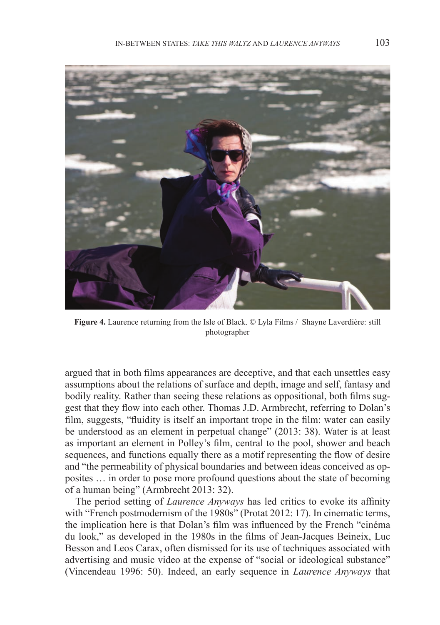

**Figure 4.** Laurence returning from the Isle of Black. © Lyla Films / Shayne Laverdière: still photographer

argued that in both films appearances are deceptive, and that each unsettles easy assumptions about the relations of surface and depth, image and self, fantasy and bodily reality. Rather than seeing these relations as oppositional, both films suggest that they flow into each other. Thomas J.D. Armbrecht, referring to Dolan's film, suggests, "fluidity is itself an important trope in the film: water can easily be understood as an element in perpetual change" (2013: 38). Water is at least as important an element in Polley's film, central to the pool, shower and beach sequences, and functions equally there as a motif representing the flow of desire and "the permeability of physical boundaries and between ideas conceived as opposites … in order to pose more profound questions about the state of becoming of a human being" (Armbrecht 2013: 32).

The period setting of *Laurence Anyways* has led critics to evoke its affinity with "French postmodernism of the 1980s" (Protat 2012: 17). In cinematic terms, the implication here is that Dolan's film was influenced by the French "cinéma du look," as developed in the 1980s in the films of Jean-Jacques Beineix, Luc Besson and Leos Carax, often dismissed for its use of techniques associated with advertising and music video at the expense of "social or ideological substance" (Vincendeau 1996: 50). Indeed, an early sequence in *Laurence Anyways* that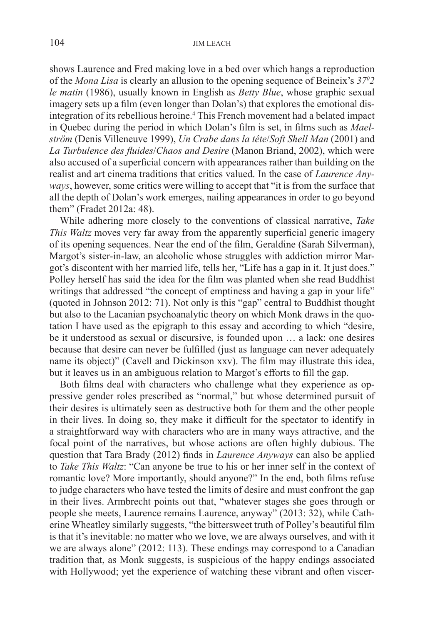shows Laurence and Fred making love in a bed over which hangs a reproduction of the *Mona Lisa* is clearly an allusion to the opening sequence of Beineix's *370 2 le matin* (1986), usually known in English as *Betty Blue*, whose graphic sexual imagery sets up a film (even longer than Dolan's) that explores the emotional disintegration of its rebellious heroine.4 This French movement had a belated impact in Quebec during the period in which Dolan's film is set, in films such as *Maelström* (Denis Villeneuve 1999), *Un Crabe dans la tête*/*Soft Shell Man* (2001) and *La Turbulence des fluides*/*Chaos and Desire* (Manon Briand, 2002), which were also accused of a superficial concern with appearances rather than building on the realist and art cinema traditions that critics valued. In the case of *Laurence Anyways*, however, some critics were willing to accept that "it is from the surface that all the depth of Dolan's work emerges, nailing appearances in order to go beyond them" (Fradet 2012a: 48).

While adhering more closely to the conventions of classical narrative, *Take This Waltz* moves very far away from the apparently superficial generic imagery of its opening sequences. Near the end of the film, Geraldine (Sarah Silverman), Margot's sister-in-law, an alcoholic whose struggles with addiction mirror Margot's discontent with her married life, tells her, "Life has a gap in it. It just does." Polley herself has said the idea for the film was planted when she read Buddhist writings that addressed "the concept of emptiness and having a gap in your life" (quoted in Johnson 2012: 71). Not only is this "gap" central to Buddhist thought but also to the Lacanian psychoanalytic theory on which Monk draws in the quotation I have used as the epigraph to this essay and according to which "desire, be it understood as sexual or discursive, is founded upon … a lack: one desires because that desire can never be fulfilled (just as language can never adequately name its object)" (Cavell and Dickinson xxv). The film may illustrate this idea, but it leaves us in an ambiguous relation to Margot's efforts to fill the gap.

Both films deal with characters who challenge what they experience as oppressive gender roles prescribed as "normal," but whose determined pursuit of their desires is ultimately seen as destructive both for them and the other people in their lives. In doing so, they make it difficult for the spectator to identify in a straightforward way with characters who are in many ways attractive, and the focal point of the narratives, but whose actions are often highly dubious. The question that Tara Brady (2012) finds in *Laurence Anyways* can also be applied to *Take This Waltz*: "Can anyone be true to his or her inner self in the context of romantic love? More importantly, should anyone?" In the end, both films refuse to judge characters who have tested the limits of desire and must confront the gap in their lives. Armbrecht points out that, "whatever stages she goes through or people she meets, Laurence remains Laurence, anyway" (2013: 32), while Catherine Wheatley similarly suggests, "the bittersweet truth of Polley's beautiful film is that it's inevitable: no matter who we love, we are always ourselves, and with it we are always alone" (2012: 113). These endings may correspond to a Canadian tradition that, as Monk suggests, is suspicious of the happy endings associated with Hollywood; yet the experience of watching these vibrant and often viscer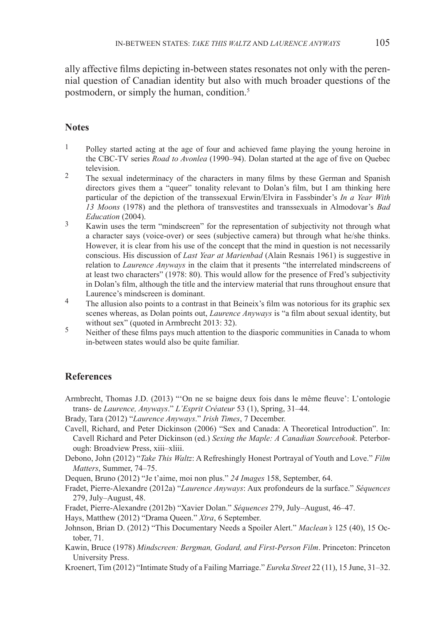ally affective films depicting in-between states resonates not only with the perennial question of Canadian identity but also with much broader questions of the postmodern, or simply the human, condition.5

#### **Notes**

- 1 Polley started acting at the age of four and achieved fame playing the young heroine in the CBC-TV series *Road to Avonlea* (1990–94). Dolan started at the age of five on Quebec television.
- <sup>2</sup> The sexual indeterminacy of the characters in many films by these German and Spanish directors gives them a "queer" tonality relevant to Dolan's film, but I am thinking here particular of the depiction of the transsexual Erwin/Elvira in Fassbinder's *In a Year With 13 Moons* (1978) and the plethora of transvestites and transsexuals in Almodovar's *Bad Education* (2004).
- <sup>3</sup> Kawin uses the term "mindscreen" for the representation of subjectivity not through what a character says (voice-over) or sees (subjective camera) but through what he/she thinks. However, it is clear from his use of the concept that the mind in question is not necessarily conscious. His discussion of *Last Year at Marienbad* (Alain Resnais 1961) is suggestive in relation to *Laurence Anyways* in the claim that it presents "the interrelated mindscreens of at least two characters" (1978: 80). This would allow for the presence of Fred's subjectivity in Dolan's film, although the title and the interview material that runs throughout ensure that Laurence's mindscreen is dominant.
- <sup>4</sup> The allusion also points to a contrast in that Beineix's film was notorious for its graphic sex scenes whereas, as Dolan points out, *Laurence Anyways* is "a film about sexual identity, but without sex" (quoted in Armbrecht 2013: 32).
- <sup>5</sup> Neither of these films pays much attention to the diasporic communities in Canada to whom in-between states would also be quite familiar.

#### **References**

- Armbrecht, Thomas J.D. (2013) "'On ne se baigne deux fois dans le même fleuve': L'ontologie trans- de *Laurence, Anyways*." *L'Esprit Créateur* 53 (1), Spring, 31–44.
- Brady, Tara (2012) "*Laurence Anyways*." *Irish Times*, 7 December.
- Cavell, Richard, and Peter Dickinson (2006) "Sex and Canada: A Theoretical Introduction". In: Cavell Richard and Peter Dickinson (ed.) *Sexing the Maple: A Canadian Sourcebook*. Peterborough: Broadview Press, xiii–xliii.
- Debono, John (2012) "*Take This Waltz*: A Refreshingly Honest Portrayal of Youth and Love." *Film Matters*, Summer, 74–75.
- Dequen, Bruno (2012) "Je t'aime, moi non plus." *24 Images* 158, September, 64.
- Fradet, Pierre-Alexandre (2012a) "*Laurence Anyways*: Aux profondeurs de la surface." *Séquences* 279, July–August, 48.
- Fradet, Pierre-Alexandre (2012b) "Xavier Dolan." *Séquences* 279, July–August, 46–47.
- Hays, Matthew (2012) "Drama Queen." *Xtra*, 6 September.
- Johnson, Brian D. (2012) "This Documentary Needs a Spoiler Alert." *Maclean's* 125 (40), 15 October, 71.
- Kawin, Bruce (1978) *Mindscreen: Bergman, Godard, and First-Person Film*. Princeton: Princeton University Press.
- Kroenert, Tim (2012) "Intimate Study of a Failing Marriage." *Eureka Street* 22 (11), 15 June, 31–32.